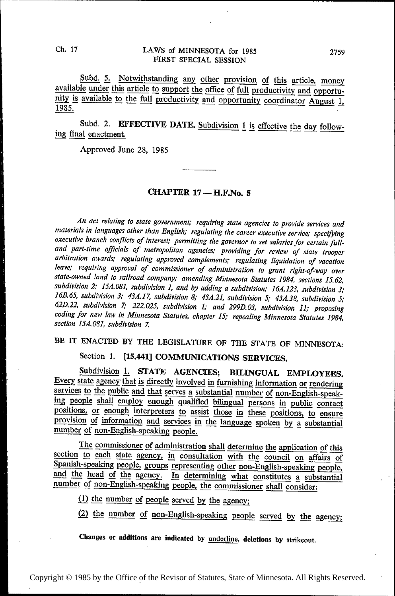### Ch. 17 LAWS of MINNESOTA for 1985 2759 FIRST SPECIAL SESSION

Subd. 5. Notwithstanding any other provision of this article, money available under this article to support the office of full productivity and opportunity is available to the full productivity and opportunity coordinator August 1, 1985.

Subd. 2. EFFECTIVE DATE. Subdivision  $1$  is effective the day following final enactment.

Approved June 28, 1985

### CHAPTER 17 — H.F.No. <sup>5</sup>

An act relating to state government; requiring state agencies to provide services and materials in languages other than English; regulating the career executive service; specifying and part-time officials of metropolitan agencies; providing for review of state trooper arbitration awards; regulating approved complements; regulating liquidation of vacation leave; requiring approval of commissioner of administration to grant right-of-way over state-owned land to railroad company; amending Minnesota Statutes 1984, sections 15.62, 16B.65, subdivision 3; 43A.17, subdivision 8; 43A.21, subdivision 5; 43A.38, subdivision 5; 62D.22, subdivision 7; 222.025. subdivision 1; and 299D.03, subdivision I1; proposing coding for new law in Minnesota Statutes, chapter 15; repealing Minnesota Statutes I 984, section 15A. 081, subdivision 7.

# BE IT ENACTED BY THE LEGISLATURE OF THE STATE OF MINNESOTA:

## Section 1. [15.441] COMMUNICATIONS SERVICES.

Subdivision 1. STATE AGENCIES; BILINGUAL EMPLOYEES. Every state agency that is directly involved in furnishing information or rendering services to the public and that serves a substantial number of non-English-speaking people shall employ enough qualified bilingual persons in public contact positions, or enough interpreters to assist those in these positions, to ensure provision of information and services in the language spoken by a substantial number of non-English-speaking people.

The commissioner of administration shall determine the application of this section to each state agency, in consultation with the council on affairs of Spanish-speaking people, groups representing other non-English-speakin number of non-English-speaking people, the commissioner shall consider:

 $(1)$  the number of people served by the agency;

(2) the number of non-English-speaking people served by the agency;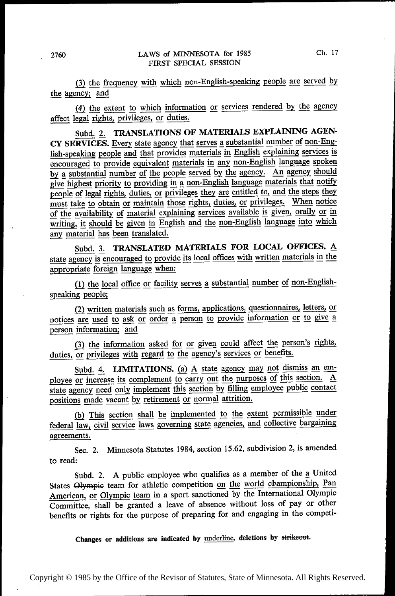(3) the frequency with which non-English-speaking people are served by the agency; and

(4) the extent to which information or services rendered by the agency affect legal rights, privileges, or duties.

Subd. 2. TRANSLATIONS OF MATERIALS EXPLAINING AGEN-CY SERVICES. Every state agency that serves a substantial number of non-English-speaking people and that provides materials in English explaining services is  $\overline{C}$  encouraged to provide equivalent materials in any non-English language spoken by a substantial number of the people served by the agency. An agency should give highest priority to providing in a non-English language materials that notify people of legal rights, duties, or privileges they are entitled to, and the steps they must take to obtain or maintain those rights, duties, or privileges. When notice  $\overline{\text{of the availableity of material explaining services available is given, orally or in}}$ writing, it should be given in English and the non-English language into which any material has been translated.

Subd. 3. TRANSLATED MATERIALS FOR LOCAL OFFICES. A state agency is encouraged to provide its local offices with written materials in the appropriate foreign language when:

(1) the local office or facility serves a substantial number of non-Englishspeaking people;

(2) written materials such as forms, applications, questionnaires, letters, or notices are used to ask or order a person to provide information or to give a person information; and

(3) the information asked for or given could affect the person's rights, duties, or privileges with regard to the agency's services or benefits.

Subd. 4. LIMITATIONS. (a) A state agency may not dismiss an employee or increase its complement to carry out the purposes of this section. A state agency need only implement this section by filling employee public contact positions made vacant by retirement or normal attrition.

(b) This section shall be implemented to the extent permissible under federal law, civil service laws governing state agencies, and collective bargaining agreements.

Sec. 2. Minnesota Statutes 1984, section 15.62, subdivision 2, is amended to read:

Subd. 2. A public employee who qualifies as a member of the a United States Olympic team for athletic competition on the world championship, Pan American, or Olympic team in a sport sanctioned by the International Olympic Committee, shall be granted a leave of absence without loss of pay or other benefits or rights for the purpose of preparing for and engaging in the competi-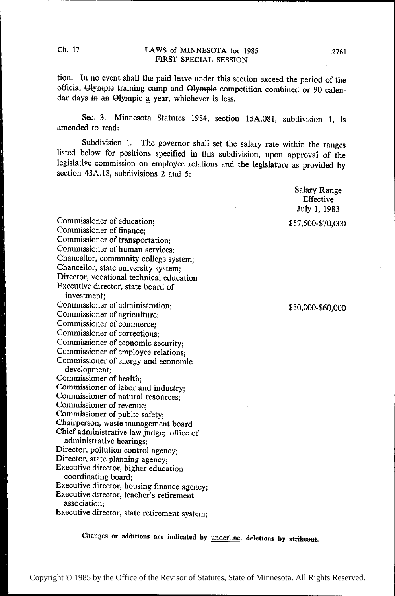tion. In no event shall the paid leave under this section exceed the period of the official Glympie training camp and Olympic competition combined or 90 calendar days in an Olympic a year, whichever is less.

See. 3. Minnesota Statutes 1984, section 15A.081, subdivision 1, is amended to read:

Subdivision 1. The governor shall set the salary rate within the ranges listed below for positions specified in this subdivision, upon approval of the legislative commission on employee relations and the legislature as provided by section 43A.18, subdivisions 2 and 5:

> Salary Range Effective July 1, 1983

Commissioner of education; \$57,500-\$70,000<br>Commissioner of finance: Commissioner of transportation; Commissioner of human services; Chancellor, community college system; Chancellor, state university system; Director, vocational technical education Executive director, state board of investment; Commissioner of administration; ' Commissioner of administration;<br>
Commissioner of agriculture;<br>
Commissioner of agriculture; Commissioner of commerce; Commissioner of corrections; Commissioner of economic security; Commissioner of employee relations; Commissioner of energy and economic development; Commissioner of health; Commissioner of labor and industry; Commissioner of natural resources; Commissioner of revenue; Commissioner of public safety; Chairperson, waste management board Chief administrative law judge; office of administrative hearings; Director, pollution control agency; Director, state planning agency; Executive director, higher education coordinating board; Executive director, housing finance agency; Executive director, teacher's retirement association; Executive director, state retirement system;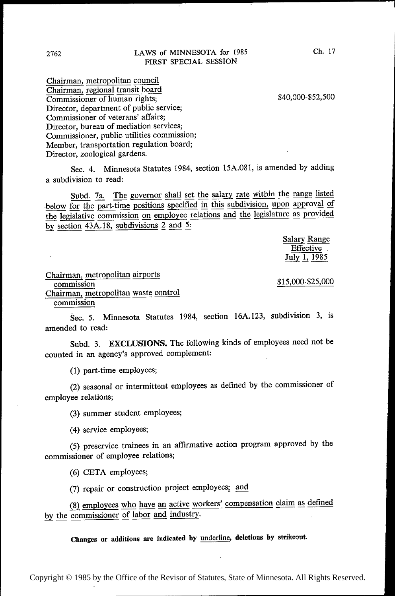Chairman, metropolitan council Chairman, regional transit board Commissioner of human rights; \$40,000-\$52,500 Director, department of public service; Commissioner of veterans' affairs; Director, bureau of mediation services; Commissioner, public utilities commission; Member, transportation regulation board; Director, zoological gardens.

Sec. 4. Minnesota Statutes 1984, section 15A.08l, is amended by adding a subdivision to read:

Subd. 7a. The governor shall set the salary rate within the range listed below for the part-time positions specified in this subdivision, upon approval of the legislative commission on employee relations and the legislature as provided by section  $43A.18$ , subdivisions 2 and 5:

> Salary Range Effective \_ July 1, 1985

Chairman, metropolitan airports  $\frac{$15,000}{$25,000}$ Chairman, metropolitan waste control commission

Sec. 5. Minnesota Statutes 1984, section 16A.123, subdivision 3, is amended to read:

Subd. 3. EXCLUSIONS. The following kinds of employees need not be counted in an agency's approved complement:

(1) part-time employees;

(2) seasonal or intermittent employees as defined by the commissioner of employee relations;

(3) summer student employees;

(4) service employees;

(5) preservice trainees in an affirmative action program approved by the commissioner of employee relations;

(6) CETA employees;

(7) repair or construction project employees; an\_d

(8) employees who have an active workers' compensation claim as defined by the commissioner of labor and industry.

Changes or additions are indicated by underline, deletions by strikeout.

Copyright © 1985 by the Office of the Revisor of Statutes, State of Minnesota. All Rights Reserved.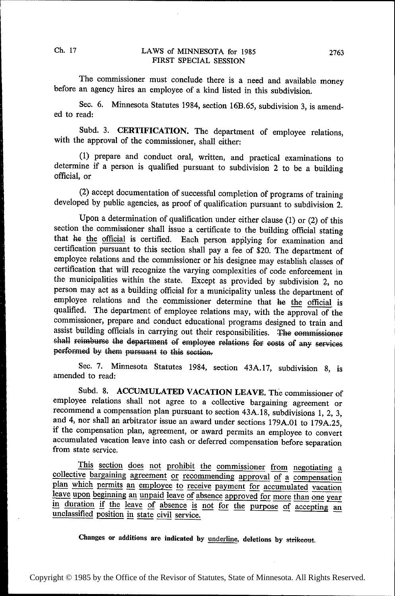The commissioner must conclude there is a need and available money before an agency hires an employee of a kind listed in this subdivision.

Sec. 6. Minnesota Statutes 1984, section 16B.65, subdivision 3, is amended to read:

Subd. 3. CERTIFICATION. The department of employee relations, with the approval of the commissioner, shall either:

(1) prepare and conduct oral, written, and practical examinations to determine if a person is qualified pursuant to subdivision 2 to be a building official, or

(2) accept documentation of successful completion of programs of training developed by public agencies, as proof of qualification pursuant to subdivision 2.

Upon a determination of qualification under either clause (1) or (2) of this section the commissioner shall issue a certificate to the building official stating that he the official is certified. Each person applying for examination and certification pursuant to this section shall pay a fee of \$20. The department of employee relations and the commissioner or his designee may establish classes of certification that will recognize the varying complexities of code enforcement in the municipalities within the state. Except as provided by subdivision 2, no person may act as a building official for a municipality unless the department of employee relations and the commissioner determine that he the official is qualified. The department of employee relations may, with the approval of the commissioner, prepare and conduct educational programs designed to train and assist building officials in carrying out their responsibilities. The commissioner shall reimburse the department of employee relations for costs of any services performed by them pursuant to this section.

Sec. 7. Minnesota Statutes 1984, section 43A.l7, subdivision 8, is amended to read:

Subd. 8. ACCUMULATED VACATION LEAVE. The commissioner of employee relations shall not agree to a collective bargaining agreement or recommend a compensation plan pursuant to section 43A.18, subdivisions 1, 2, 3, and 4, nor shall an arbitrator issue an award under sections 179A.01 to 179A.25, if the compensation plan, agreement, or award permits an employee to convert accumulated vacation leave into cash or deferred compensation before separation from state service.

This section does not prohibit the commissioner from negotiating a collective bargaining agreement or recommending approval of a compensation plan which permits an employee to receive payment for accumulated vacation leave in duration if the leave of absence is not for the purpose of accepting an unclassified position in state civil service.

Changes or additions are indicated by underline, deletions by strikeout.

Ch. 17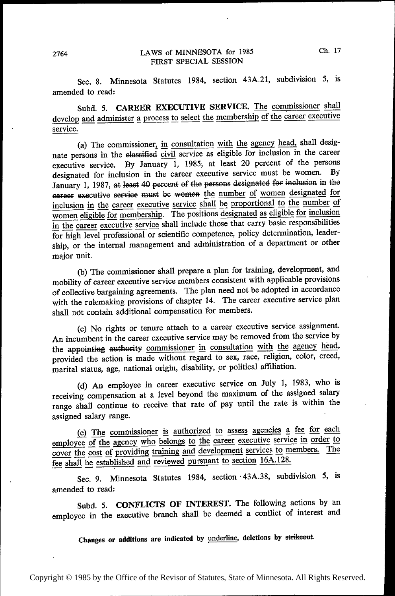Sec. 8. Minnesota Statutes 1984, section 43A.21, subdivision 5, is amended to read:

Subd. 5. CAREER EXECUTIVE SERVICE. The commissioner shall develop and administer a process to select the membership of the career executive service.

(a) The commissioner, in consultation with the agency head, shall designate persons in the elassified civil service as eligible for inclusion in the career nate persons in the classified civil service as eligible for inclusion in the career executive service. By January 1, 1985, at least 20 percent of the persons designated for inclusion in the career executive service must be women. By January 1, 1987, at least 40 percent of the persons designated for inclusion in the career executive service must be women the number of women designated for inclusion in the career executive service shall be proportional to the number of women eligible for membership. The positions designated as eligible for inclusion<br>in the career executive service shall include those that carry basic responsibilities in the career executive service shall include those that carry basic responsibilities<br>for high level professional or scientific competence, policy determination, leadership, or the internal management and administration of a department or other major unit.

(b) The commissioner shall prepare a plan for training, development, and mobility of career executive service members consistent with applicable provisions of collective bargaining agreements. The plan need not be adopted in accordance with the rulemaking provisions of chapter 14. The career executive service plan shall not contain additional compensation for members.

(c) No rights or tenure attach to a career executive service assignment. An incumbent in the career executive service may be removed from the service by the appointing authority commissioner in consultation with the agency head, provided the action is made without regard to sex, race, religion, color, creed, marital status, age, national origin, disability, or political affiliation.

~~ (d) An employee in career executive service on July 1, 1983, who is receiving compensation at a level beyond the maximum of the assigned salary range shall continue to receive that rate of pay until the rate is within the assigned salary range.

(e) The commissioner is authorized to assess agencies a fee for each employee of the agency who belongs to the career executive service in order to cover the cost of providing training and development services to members. The fee shall be established and reviewed pursuant to section 16A.128.

Sec. 9. Minnesota Statutes 1984, section 43A.38, subdivision 5, is amended to read:

Subd. 5. CONFLICTS OF INTEREST. The following actions by an employee in the executive branch shall be deemed a conflict of interest and

Changes or additions are indicated by underline, deletions by strikeout.

~

~ ~~

~ ~~

~~

~

~~

~~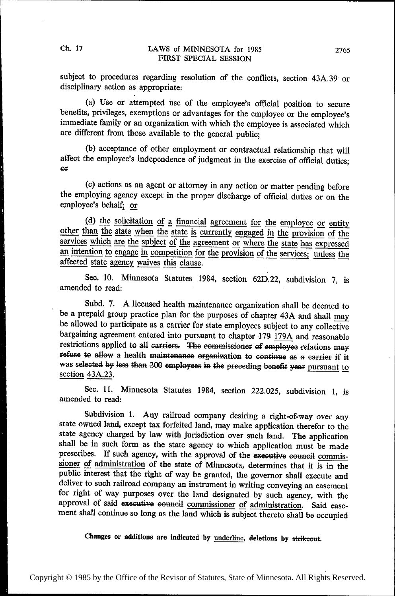subject to procedures regarding resolution of the conflicts, section 43A.39' or disciplinary action as appropriate:

(a) Use or attempted use of the employee's official position to secure benefits, privileges, exemptions or advantages for the employee or the employee's immediate family or an organization with which the employee is associated which are different from those available to the general public;

(b) acceptance of other employment or contractual relationship that will affect the employee's independence of judgment in the exercise of official duties; or

(c) actions as an agent or attorney in any action or matter pending before the employing agency except in the proper discharge of official duties or on the employee's behalf; or

 $(d)$  the solicitation of a financial agreement for the employee or entity other than the state when the state is currently engaged in the provision of the other than the state when the state is currently engaged in the provision of the services which are the subject of the agreement or where the state has expressed an intention to engage in competition for the provision of the services; unless the affected state agency waives this clause.

Sec. 10. Minnesota Statutes 1984, section 62D.22, subdivision 7, is amended to read:

Subd. 7. A licensed health maintenance organization shall be deemed to be a prepaid group practice plan for the purposes of chapter be a prepaid group practice plan for the purposes of chapter 43A and shall may<br>be allowed to participate as a carrier for state employees subject to any collective bargaining agreement entered into pursuant to chapter 179 179A and reasonable restrictions applied to all carriers. The commissioner of employee relations may refuse to allow a health maintenance organization to continue as a carrier if it was selected by less than 200 employees in the preceding benefit year pursuant to section 43A.23.

Sec. 11. Minnesota Statutes 1984, section 222.025, subdivision 1, is amended to read:

Subdivision 1. Any railroad company desiring a right-of-way over any state owned land, except tax forfeited land, may make application therefor to the state agency charged by law with jurisdiction over such land. The application shall be in such form as the state agency to which application must be made prescribes. If such agency, with the approval of the executive council commissioner of administration of the state of Minnesota, determines that it is in the public interest that the right of way be granted, the governor shall execute and deliver to such railroad company an instrument in writing conveying an easement for right of way purposes over the land designated by such agency, with the approval of said executive council commissioner of administration. Said easement shall continue so long as the land which is subject thereto shall be occupied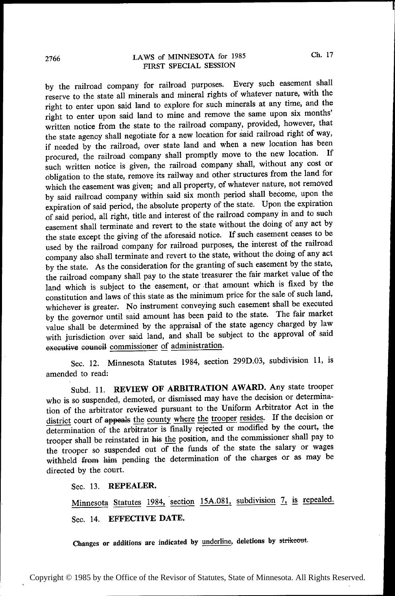by the railroad company for railroad purposes. Every such easement shall reserve to the state all minerals and mineral rights of whatever nature, with the right to enter upon said land to explore for such minerals at any time, and the right to enter upon said land to mine and remove the same upon six months' written notice from the state to the railroad company, provided, however, that the state agency shall negotiate for a new location for said railroad right of way, if needed by the railroad, over state land and when a new location has been procured, the railroad company shall promptly move to the new location. If such written notice is given, the railroad company shall, without any cost or obligation to the state, remove its railway and other structures from the land for which the easement was given; and all property, of whatever nature, not removed by said railroad company within said six month period shall become, upon the expiration of said period, the absolute property of the state. Upon the expiration of said period, all right, title and interest of the railroad company in and to such easement shall terminate and revert to the state without the doing of any act by the state except the giving of the aforesaid notice. If such easement ceases to be used by the railroad company for railroad purposes, the interest of the railroad company also shall terminate and revert to the state, without the doing of any act by the state. As the consideration for the granting of such easement by the state, the railroad company shall pay to the state treasurer the fair market value of the land which is subject to the easement, or that amount which is fixed by the constitution and laws of this state as the minimum price for the sale of such land, whichever is greater. No instrument conveying such easement shall be executed by the governor until said amount has been paid to the state. The fair market value shall be determined by the appraisal of the state agency charged by law with jurisdiction over said land, and shall be subject to the approval of said executive council commissioner of administration.

Sec. 12. Minnesota Statutes 1984, section 299D.O3, subdivision 11, is amended to read:

Subd. 11. REVIEW OF ARBITRATION AWARD. Any state trooper who is so suspended, demoted, or dismissed may have the decision or determination of the arbitrator reviewed pursuant to the Uniform Arbitrator Act in the district court of appeals the county where the trooper resides. If the decision or determination of the arbitrator is finally rejected or modified by the court, the trooper shall be reinstated in his fie position, and the commissioner shall pay to the trooper so suspended out of the funds of the state the salary or wages withheld from him pending the determination of the charges or as may be directed by the court.

Sec. 13. REPEALER.

Minnesota Statutes 1984, section 15A.081, subdivision 7, is repealed. Sec. 14. EFFECTIVE DATE.

Changes or additions are indicated by underline, deletions by strikeout.

~

~

~

~

~